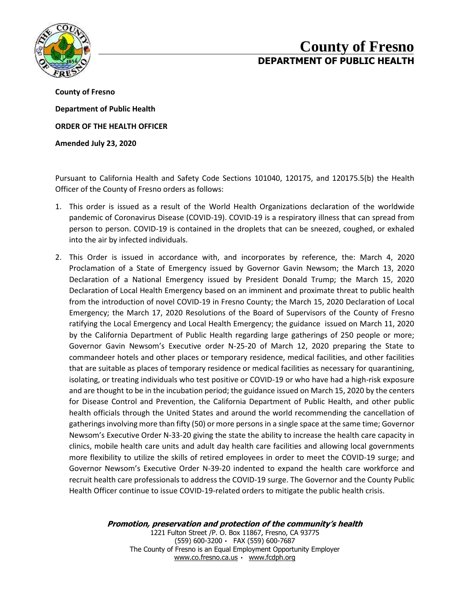

## **County of Fresno DEPARTMENT OF PUBLIC HEALTH**

**County of Fresno Department of Public Health ORDER OF THE HEALTH OFFICER Amended July 23, 2020**

Pursuant to California Health and Safety Code Sections 101040, 120175, and 120175.5(b) the Health Officer of the County of Fresno orders as follows:

- 1. This order is issued as a result of the World Health Organizations declaration of the worldwide pandemic of Coronavirus Disease (COVID-19). COVID-19 is a respiratory illness that can spread from person to person. COVID-19 is contained in the droplets that can be sneezed, coughed, or exhaled into the air by infected individuals.
- 2. This Order is issued in accordance with, and incorporates by reference, the: March 4, 2020 Proclamation of a State of Emergency issued by Governor Gavin Newsom; the March 13, 2020 Declaration of a National Emergency issued by President Donald Trump; the March 15, 2020 Declaration of Local Health Emergency based on an imminent and proximate threat to public health from the introduction of novel COVID-19 in Fresno County; the March 15, 2020 Declaration of Local Emergency; the March 17, 2020 Resolutions of the Board of Supervisors of the County of Fresno ratifying the Local Emergency and Local Health Emergency; the guidance issued on March 11, 2020 by the California Department of Public Health regarding large gatherings of 250 people or more; Governor Gavin Newsom's Executive order N-25-20 of March 12, 2020 preparing the State to commandeer hotels and other places or temporary residence, medical facilities, and other facilities that are suitable as places of temporary residence or medical facilities as necessary for quarantining, isolating, or treating individuals who test positive or COVID-19 or who have had a high-risk exposure and are thought to be in the incubation period; the guidance issued on March 15, 2020 by the centers for Disease Control and Prevention, the California Department of Public Health, and other public health officials through the United States and around the world recommending the cancellation of gatherings involving more than fifty (50) or more persons in a single space at the same time; Governor Newsom's Executive Order N-33-20 giving the state the ability to increase the health care capacity in clinics, mobile health care units and adult day health care facilities and allowing local governments more flexibility to utilize the skills of retired employees in order to meet the COVID-19 surge; and Governor Newsom's Executive Order N-39-20 indented to expand the health care workforce and recruit health care professionals to address the COVID-19 surge. The Governor and the County Public Health Officer continue to issue COVID-19-related orders to mitigate the public health crisis.

**Promotion, preservation and protection of the community's health**

1221 Fulton Street /P. O. Box 11867, Fresno, CA 93775 (559) 600-3200 FAX (559) 600-7687 The County of Fresno is an Equal Employment Opportunity Employer [www.co.fresno.ca.us](http://www.co.fresno.ca.us/) [www.fcdph.org](http://www.fcdph.org/)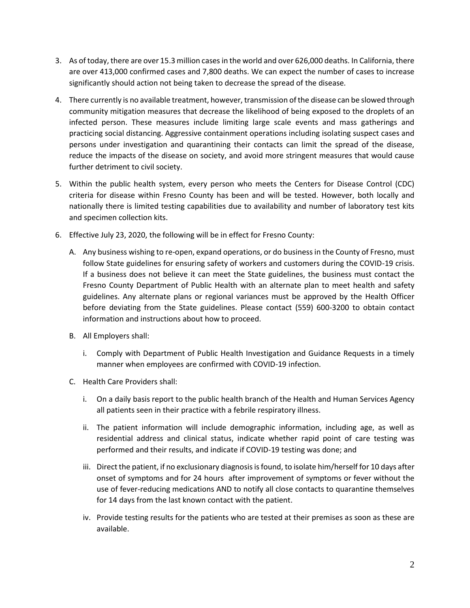- 3. As of today, there are over 15.3 million cases in the world and over 626,000 deaths. In California, there are over 413,000 confirmed cases and 7,800 deaths. We can expect the number of cases to increase significantly should action not being taken to decrease the spread of the disease.
- 4. There currently is no available treatment, however, transmission of the disease can be slowed through community mitigation measures that decrease the likelihood of being exposed to the droplets of an infected person. These measures include limiting large scale events and mass gatherings and practicing social distancing. Aggressive containment operations including isolating suspect cases and persons under investigation and quarantining their contacts can limit the spread of the disease, reduce the impacts of the disease on society, and avoid more stringent measures that would cause further detriment to civil society.
- 5. Within the public health system, every person who meets the Centers for Disease Control (CDC) criteria for disease within Fresno County has been and will be tested. However, both locally and nationally there is limited testing capabilities due to availability and number of laboratory test kits and specimen collection kits.
- 6. Effective July 23, 2020, the following will be in effect for Fresno County:
	- A. Any business wishing to re-open, expand operations, or do business in the County of Fresno, must follow State guidelines for ensuring safety of workers and customers during the COVID-19 crisis. If a business does not believe it can meet the State guidelines, the business must contact the Fresno County Department of Public Health with an alternate plan to meet health and safety guidelines. Any alternate plans or regional variances must be approved by the Health Officer before deviating from the State guidelines. Please contact (559) 600-3200 to obtain contact information and instructions about how to proceed.
	- B. All Employers shall:
		- i. Comply with Department of Public Health Investigation and Guidance Requests in a timely manner when employees are confirmed with COVID-19 infection.
	- C. Health Care Providers shall:
		- i. On a daily basis report to the public health branch of the Health and Human Services Agency all patients seen in their practice with a febrile respiratory illness.
		- ii. The patient information will include demographic information, including age, as well as residential address and clinical status, indicate whether rapid point of care testing was performed and their results, and indicate if COVID-19 testing was done; and
		- iii. Direct the patient, if no exclusionary diagnosis is found, to isolate him/herself for 10 days after onset of symptoms and for 24 hours after improvement of symptoms or fever without the use of fever-reducing medications AND to notify all close contacts to quarantine themselves for 14 days from the last known contact with the patient.
		- iv. Provide testing results for the patients who are tested at their premises as soon as these are available.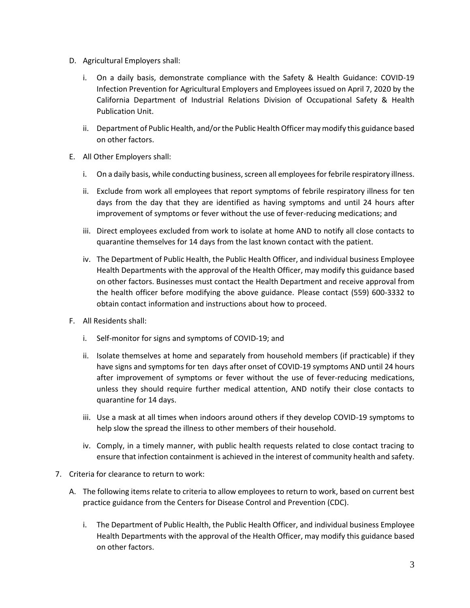- D. Agricultural Employers shall:
	- i. On a daily basis, demonstrate compliance with the Safety & Health Guidance: COVID-19 Infection Prevention for Agricultural Employers and Employees issued on April 7, 2020 by the California Department of Industrial Relations Division of Occupational Safety & Health Publication Unit.
	- ii. Department of Public Health, and/or the Public Health Officer may modify this guidance based on other factors.
- E. All Other Employers shall:
	- i. On a daily basis, while conducting business, screen all employees for febrile respiratory illness.
	- ii. Exclude from work all employees that report symptoms of febrile respiratory illness for ten days from the day that they are identified as having symptoms and until 24 hours after improvement of symptoms or fever without the use of fever-reducing medications; and
	- iii. Direct employees excluded from work to isolate at home AND to notify all close contacts to quarantine themselves for 14 days from the last known contact with the patient.
	- iv. The Department of Public Health, the Public Health Officer, and individual business Employee Health Departments with the approval of the Health Officer, may modify this guidance based on other factors. Businesses must contact the Health Department and receive approval from the health officer before modifying the above guidance. Please contact (559) 600-3332 to obtain contact information and instructions about how to proceed.
- F. All Residents shall:
	- i. Self-monitor for signs and symptoms of COVID-19; and
	- ii. Isolate themselves at home and separately from household members (if practicable) if they have signs and symptoms for ten days after onset of COVID-19 symptoms AND until 24 hours after improvement of symptoms or fever without the use of fever-reducing medications, unless they should require further medical attention, AND notify their close contacts to quarantine for 14 days.
	- iii. Use a mask at all times when indoors around others if they develop COVID-19 symptoms to help slow the spread the illness to other members of their household.
	- iv. Comply, in a timely manner, with public health requests related to close contact tracing to ensure that infection containment is achieved in the interest of community health and safety.
- 7. Criteria for clearance to return to work:
	- A. The following items relate to criteria to allow employees to return to work, based on current best practice guidance from the Centers for Disease Control and Prevention (CDC).
		- i. The Department of Public Health, the Public Health Officer, and individual business Employee Health Departments with the approval of the Health Officer, may modify this guidance based on other factors.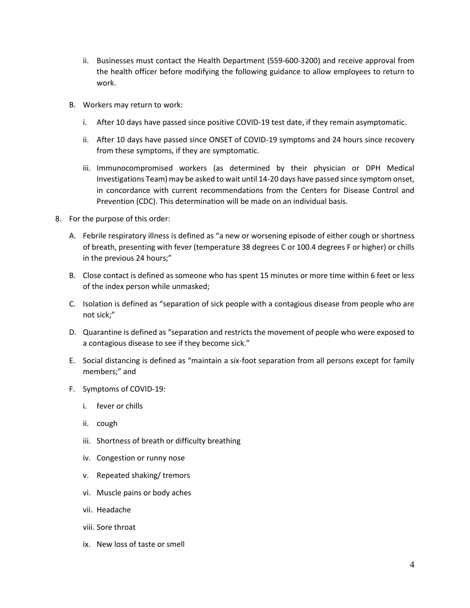- ii. Businesses must contact the Health Department (559-600-3200) and receive approval from the health officer before modifying the following guidance to allow employees to return to work.
- B. Workers may return to work:
	- i. After 10 days have passed since positive COVID-19 test date, if they remain asymptomatic.
	- ii. After 10 days have passed since ONSET of COVID-19 symptoms and 24 hours since recovery from these symptoms, if they are symptomatic.
	- iii. Immunocompromised workers (as determined by their physician or DPH Medical Investigations Team) may be asked to wait until 14-20 days have passed since symptom onset, in concordance with current recommendations from the Centers for Disease Control and Prevention (CDC). This determination will be made on an individual basis.
- 8. For the purpose of this order:
	- A. Febrile respiratory illness is defined as "a new or worsening episode of either cough or shortness of breath, presenting with fever (temperature 38 degrees C or 100.4 degrees F or higher) or chills in the previous 24 hours;"
	- B. Close contact is defined as someone who has spent 15 minutes or more time within 6 feet or less of the index person while unmasked;
	- C. Isolation is defined as "separation of sick people with a contagious disease from people who are not sick;"
	- D. Quarantine is defined as "separation and restricts the movement of people who were exposed to a contagious disease to see if they become sick."
	- E. Social distancing is defined as "maintain a six-foot separation from all persons except for family members;" and
	- F. Symptoms of COVID-19:
		- i. fever or chills
		- ii. cough
		- iii. Shortness of breath or difficulty breathing
		- iv. Congestion or runny nose
		- v. Repeated shaking/ tremors
		- vi. Muscle pains or body aches
		- vii. Headache
		- viii. Sore throat
		- ix. New loss of taste or smell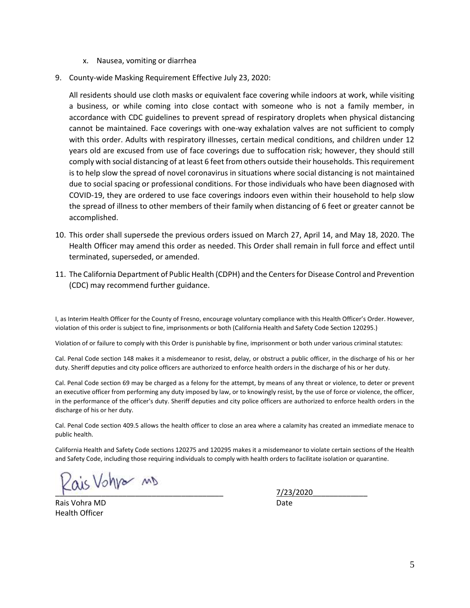- x. Nausea, vomiting or diarrhea
- 9. County-wide Masking Requirement Effective July 23, 2020:

All residents should use cloth masks or equivalent face covering while indoors at work, while visiting a business, or while coming into close contact with someone who is not a family member, in accordance with CDC guidelines to prevent spread of respiratory droplets when physical distancing cannot be maintained. Face coverings with one-way exhalation valves are not sufficient to comply with this order. Adults with respiratory illnesses, certain medical conditions, and children under 12 years old are excused from use of face coverings due to suffocation risk; however, they should still comply with social distancing of at least 6 feet from others outside their households. This requirement is to help slow the spread of novel coronavirus in situations where social distancing is not maintained due to social spacing or professional conditions. For those individuals who have been diagnosed with COVID-19, they are ordered to use face coverings indoors even within their household to help slow the spread of illness to other members of their family when distancing of 6 feet or greater cannot be accomplished.

- 10. This order shall supersede the previous orders issued on March 27, April 14, and May 18, 2020. The Health Officer may amend this order as needed. This Order shall remain in full force and effect until terminated, superseded, or amended.
- 11. The California Department of Public Health (CDPH) and the Centers for Disease Control and Prevention (CDC) may recommend further guidance.

I, as Interim Health Officer for the County of Fresno, encourage voluntary compliance with this Health Officer's Order. However, violation of this order is subject to fine, imprisonments or both (California Health and Safety Code Section 120295.)

Violation of or failure to comply with this Order is punishable by fine, imprisonment or both under various criminal statutes:

Cal. Penal Code section 148 makes it a misdemeanor to resist, delay, or obstruct a public officer, in the discharge of his or her duty. Sheriff deputies and city police officers are authorized to enforce health orders in the discharge of his or her duty.

Cal. Penal Code section 69 may be charged as a felony for the attempt, by means of any threat or violence, to deter or prevent an executive officer from performing any duty imposed by law, or to knowingly resist, by the use of force or violence, the officer, in the performance of the officer's duty. Sheriff deputies and city police officers are authorized to enforce health orders in the discharge of his or her duty.

Cal. Penal Code section 409.5 allows the health officer to close an area where a calamity has created an immediate menace to public health.

California Health and Safety Code sections 120275 and 120295 makes it a misdemeanor to violate certain sections of the Health and Safety Code, including those requiring individuals to comply with health orders to facilitate isolation or quarantine.

 $2020$ 

Rais Vohra MD Date Health Officer